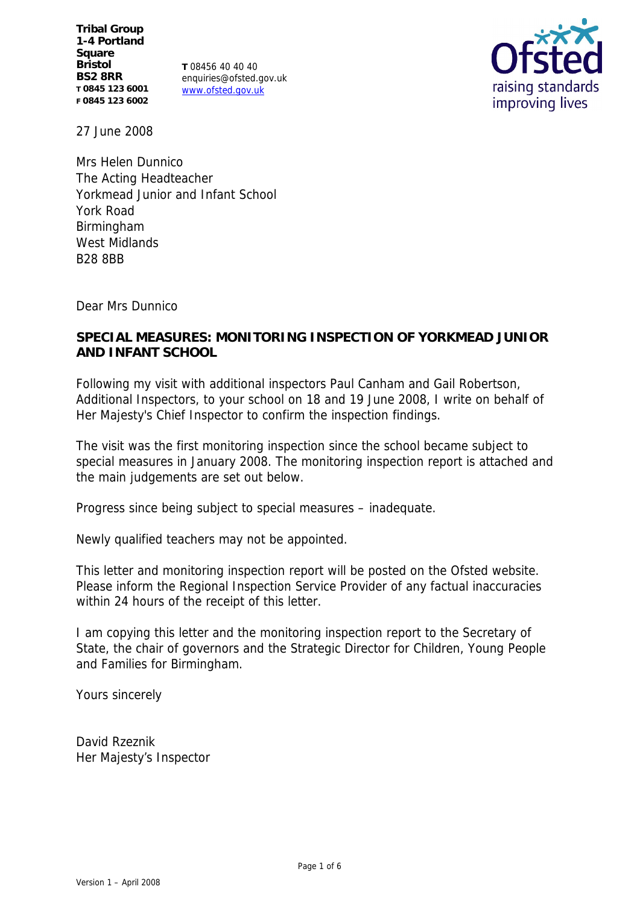**Tribal Group 1-4 Portland Square Bristol BS2 8RR T 0845 123 6001 F 0845 123 6002**

**T** 08456 40 40 40 enquiries@ofsted.gov.uk www.ofsted.gov.uk



27 June 2008

Mrs Helen Dunnico The Acting Headteacher Yorkmead Junior and Infant School York Road Birmingham West Midlands B28 8BB

Dear Mrs Dunnico

**SPECIAL MEASURES: MONITORING INSPECTION OF YORKMEAD JUNIOR AND INFANT SCHOOL**

Following my visit with additional inspectors Paul Canham and Gail Robertson, Additional Inspectors, to your school on 18 and 19 June 2008, I write on behalf of Her Majesty's Chief Inspector to confirm the inspection findings.

The visit was the first monitoring inspection since the school became subject to special measures in January 2008. The monitoring inspection report is attached and the main judgements are set out below.

Progress since being subject to special measures – inadequate.

Newly qualified teachers may not be appointed.

This letter and monitoring inspection report will be posted on the Ofsted website. Please inform the Regional Inspection Service Provider of any factual inaccuracies within 24 hours of the receipt of this letter.

I am copying this letter and the monitoring inspection report to the Secretary of State, the chair of governors and the Strategic Director for Children, Young People and Families for Birmingham.

Yours sincerely

David Rzeznik Her Majesty's Inspector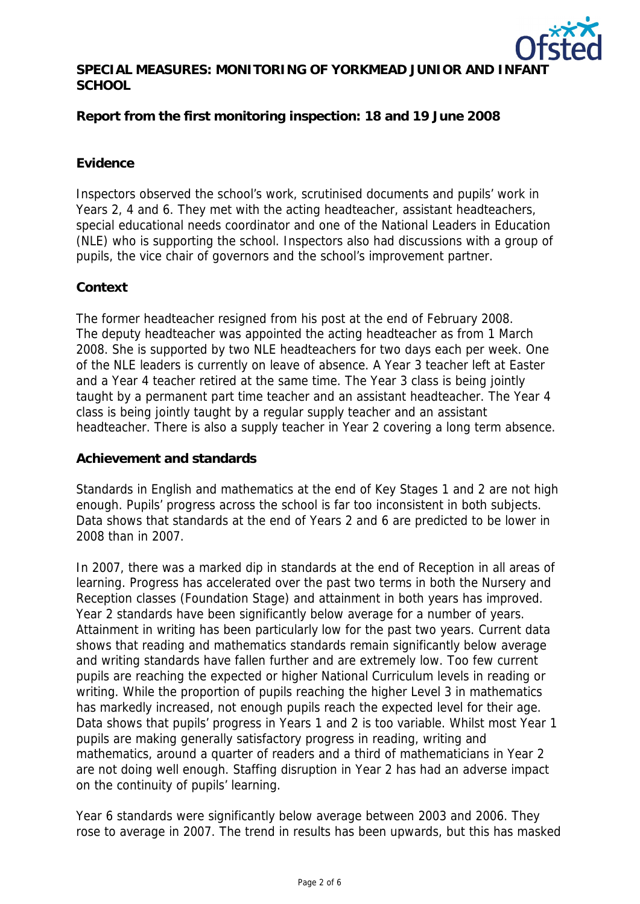

SPECIAL MEASURES: MONITORING OF YORKMEAD JUNIOR AND INF **SCHOOL**

**Report from the first monitoring inspection: 18 and 19 June 2008**

### **Evidence**

Inspectors observed the school's work, scrutinised documents and pupils' work in Years 2, 4 and 6. They met with the acting headteacher, assistant headteachers, special educational needs coordinator and one of the National Leaders in Education (NLE) who is supporting the school. Inspectors also had discussions with a group of pupils, the vice chair of governors and the school's improvement partner.

### **Context**

The former headteacher resigned from his post at the end of February 2008. The deputy headteacher was appointed the acting headteacher as from 1 March 2008. She is supported by two NLE headteachers for two days each per week. One of the NLE leaders is currently on leave of absence. A Year 3 teacher left at Easter and a Year 4 teacher retired at the same time. The Year 3 class is being jointly taught by a permanent part time teacher and an assistant headteacher. The Year 4 class is being jointly taught by a regular supply teacher and an assistant headteacher. There is also a supply teacher in Year 2 covering a long term absence.

#### **Achievement and standards**

Standards in English and mathematics at the end of Key Stages 1 and 2 are not high enough. Pupils' progress across the school is far too inconsistent in both subjects. Data shows that standards at the end of Years 2 and 6 are predicted to be lower in 2008 than in 2007.

In 2007, there was a marked dip in standards at the end of Reception in all areas of learning. Progress has accelerated over the past two terms in both the Nursery and Reception classes (Foundation Stage) and attainment in both years has improved. Year 2 standards have been significantly below average for a number of years. Attainment in writing has been particularly low for the past two years. Current data shows that reading and mathematics standards remain significantly below average and writing standards have fallen further and are extremely low. Too few current pupils are reaching the expected or higher National Curriculum levels in reading or writing. While the proportion of pupils reaching the higher Level 3 in mathematics has markedly increased, not enough pupils reach the expected level for their age. Data shows that pupils' progress in Years 1 and 2 is too variable. Whilst most Year 1 pupils are making generally satisfactory progress in reading, writing and mathematics, around a quarter of readers and a third of mathematicians in Year 2 are not doing well enough. Staffing disruption in Year 2 has had an adverse impact on the continuity of pupils' learning.

Year 6 standards were significantly below average between 2003 and 2006. They rose to average in 2007. The trend in results has been upwards, but this has masked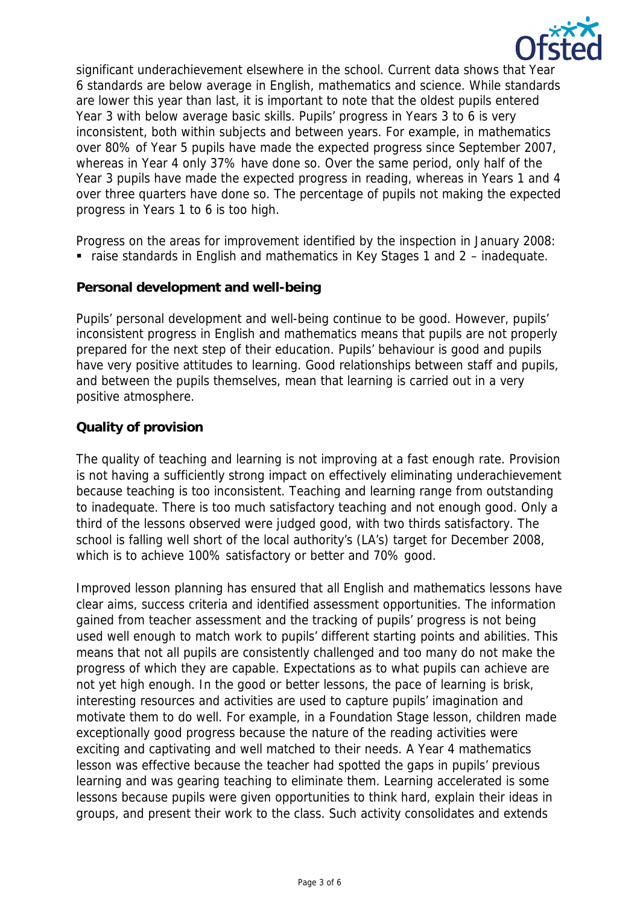

significant underachievement elsewhere in the school. Current data shows that Year 6 standards are below average in English, mathematics and science. While standards are lower this year than last, it is important to note that the oldest pupils entered Year 3 with below average basic skills. Pupils' progress in Years 3 to 6 is very inconsistent, both within subjects and between years. For example, in mathematics over 80% of Year 5 pupils have made the expected progress since September 2007, whereas in Year 4 only 37% have done so. Over the same period, only half of the Year 3 pupils have made the expected progress in reading, whereas in Years 1 and 4 over three quarters have done so. The percentage of pupils not making the expected progress in Years 1 to 6 is too high.

Progress on the areas for improvement identified by the inspection in January 2008:

■ raise standards in English and mathematics in Key Stages 1 and 2 – inadequate.

# **Personal development and well-being**

Pupils' personal development and well-being continue to be good. However, pupils' inconsistent progress in English and mathematics means that pupils are not properly prepared for the next step of their education. Pupils' behaviour is good and pupils have very positive attitudes to learning. Good relationships between staff and pupils, and between the pupils themselves, mean that learning is carried out in a very positive atmosphere.

# **Quality of provision**

The quality of teaching and learning is not improving at a fast enough rate. Provision is not having a sufficiently strong impact on effectively eliminating underachievement because teaching is too inconsistent. Teaching and learning range from outstanding to inadequate. There is too much satisfactory teaching and not enough good. Only a third of the lessons observed were judged good, with two thirds satisfactory. The school is falling well short of the local authority's (LA's) target for December 2008, which is to achieve 100% satisfactory or better and 70% good.

Improved lesson planning has ensured that all English and mathematics lessons have clear aims, success criteria and identified assessment opportunities. The information gained from teacher assessment and the tracking of pupils' progress is not being used well enough to match work to pupils' different starting points and abilities. This means that not all pupils are consistently challenged and too many do not make the progress of which they are capable. Expectations as to what pupils can achieve are not yet high enough. In the good or better lessons, the pace of learning is brisk, interesting resources and activities are used to capture pupils' imagination and motivate them to do well. For example, in a Foundation Stage lesson, children made exceptionally good progress because the nature of the reading activities were exciting and captivating and well matched to their needs. A Year 4 mathematics lesson was effective because the teacher had spotted the gaps in pupils' previous learning and was gearing teaching to eliminate them. Learning accelerated is some lessons because pupils were given opportunities to think hard, explain their ideas in groups, and present their work to the class. Such activity consolidates and extends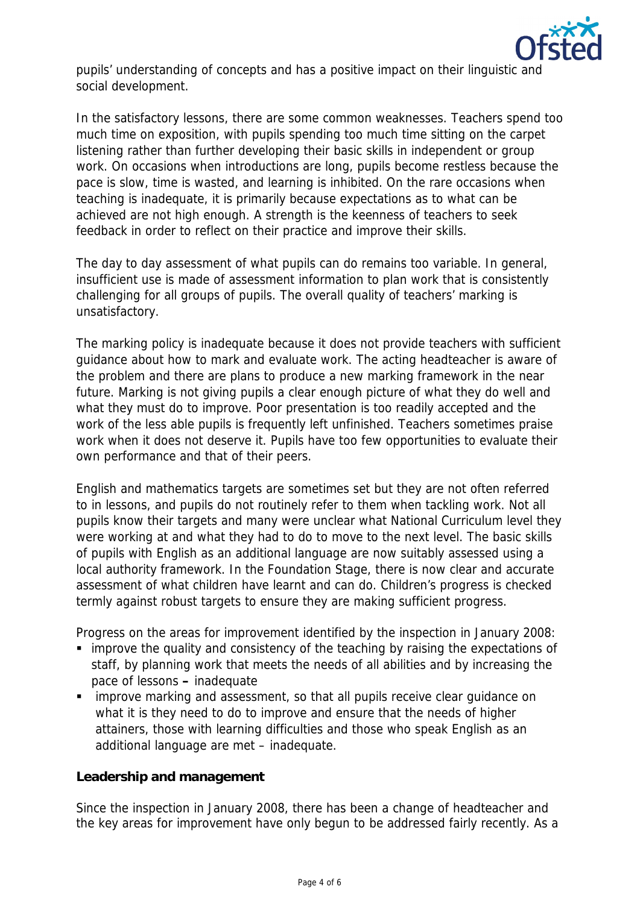

pupils' understanding of concepts and has a positive impact on their linguistic and social development.

In the satisfactory lessons, there are some common weaknesses. Teachers spend too much time on exposition, with pupils spending too much time sitting on the carpet listening rather than further developing their basic skills in independent or group work. On occasions when introductions are long, pupils become restless because the pace is slow, time is wasted, and learning is inhibited. On the rare occasions when teaching is inadequate, it is primarily because expectations as to what can be achieved are not high enough. A strength is the keenness of teachers to seek feedback in order to reflect on their practice and improve their skills.

The day to day assessment of what pupils can do remains too variable. In general, insufficient use is made of assessment information to plan work that is consistently challenging for all groups of pupils. The overall quality of teachers' marking is unsatisfactory.

The marking policy is inadequate because it does not provide teachers with sufficient guidance about how to mark and evaluate work. The acting headteacher is aware of the problem and there are plans to produce a new marking framework in the near future. Marking is not giving pupils a clear enough picture of what they do well and what they must do to improve. Poor presentation is too readily accepted and the work of the less able pupils is frequently left unfinished. Teachers sometimes praise work when it does not deserve it. Pupils have too few opportunities to evaluate their own performance and that of their peers.

English and mathematics targets are sometimes set but they are not often referred to in lessons, and pupils do not routinely refer to them when tackling work. Not all pupils know their targets and many were unclear what National Curriculum level they were working at and what they had to do to move to the next level. The basic skills of pupils with English as an additional language are now suitably assessed using a local authority framework. In the Foundation Stage, there is now clear and accurate assessment of what children have learnt and can do. Children's progress is checked termly against robust targets to ensure they are making sufficient progress.

Progress on the areas for improvement identified by the inspection in January 2008:

- improve the quality and consistency of the teaching by raising the expectations of staff, by planning work that meets the needs of all abilities and by increasing the pace of lessons **–** inadequate
- improve marking and assessment, so that all pupils receive clear guidance on what it is they need to do to improve and ensure that the needs of higher attainers, those with learning difficulties and those who speak English as an additional language are met – inadequate.

**Leadership and management**

Since the inspection in January 2008, there has been a change of headteacher and the key areas for improvement have only begun to be addressed fairly recently. As a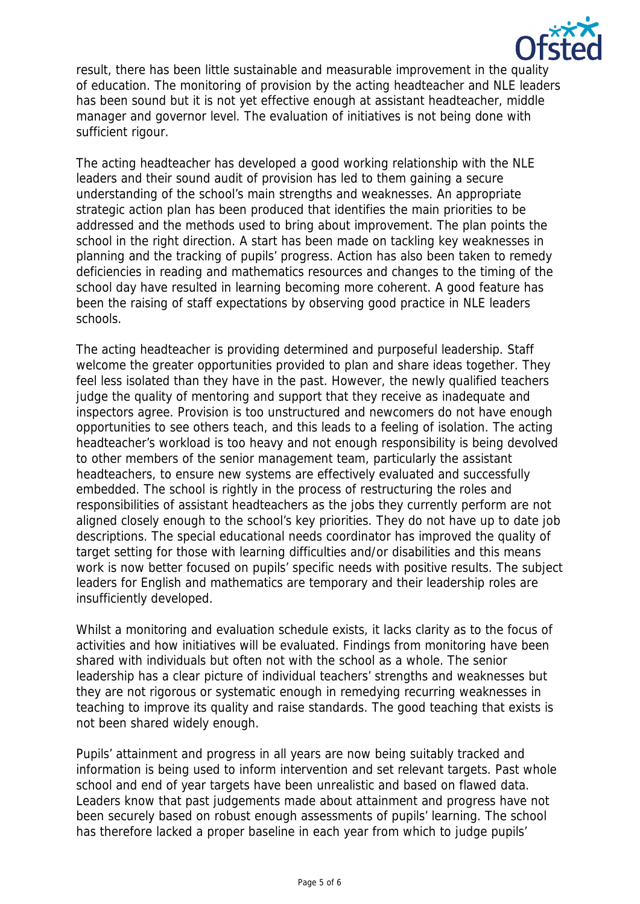

result, there has been little sustainable and measurable improvement in the quality of education. The monitoring of provision by the acting headteacher and NLE leaders has been sound but it is not yet effective enough at assistant headteacher, middle manager and governor level. The evaluation of initiatives is not being done with sufficient rigour.

The acting headteacher has developed a good working relationship with the NLE leaders and their sound audit of provision has led to them gaining a secure understanding of the school's main strengths and weaknesses. An appropriate strategic action plan has been produced that identifies the main priorities to be addressed and the methods used to bring about improvement. The plan points the school in the right direction. A start has been made on tackling key weaknesses in planning and the tracking of pupils' progress. Action has also been taken to remedy deficiencies in reading and mathematics resources and changes to the timing of the school day have resulted in learning becoming more coherent. A good feature has been the raising of staff expectations by observing good practice in NLE leaders schools.

The acting headteacher is providing determined and purposeful leadership. Staff welcome the greater opportunities provided to plan and share ideas together. They feel less isolated than they have in the past. However, the newly qualified teachers judge the quality of mentoring and support that they receive as inadequate and inspectors agree. Provision is too unstructured and newcomers do not have enough opportunities to see others teach, and this leads to a feeling of isolation. The acting headteacher's workload is too heavy and not enough responsibility is being devolved to other members of the senior management team, particularly the assistant headteachers, to ensure new systems are effectively evaluated and successfully embedded. The school is rightly in the process of restructuring the roles and responsibilities of assistant headteachers as the jobs they currently perform are not aligned closely enough to the school's key priorities. They do not have up to date job descriptions. The special educational needs coordinator has improved the quality of target setting for those with learning difficulties and/or disabilities and this means work is now better focused on pupils' specific needs with positive results. The subject leaders for English and mathematics are temporary and their leadership roles are insufficiently developed.

Whilst a monitoring and evaluation schedule exists, it lacks clarity as to the focus of activities and how initiatives will be evaluated. Findings from monitoring have been shared with individuals but often not with the school as a whole. The senior leadership has a clear picture of individual teachers' strengths and weaknesses but they are not rigorous or systematic enough in remedying recurring weaknesses in teaching to improve its quality and raise standards. The good teaching that exists is not been shared widely enough.

Pupils' attainment and progress in all years are now being suitably tracked and information is being used to inform intervention and set relevant targets. Past whole school and end of year targets have been unrealistic and based on flawed data. Leaders know that past judgements made about attainment and progress have not been securely based on robust enough assessments of pupils' learning. The school has therefore lacked a proper baseline in each year from which to judge pupils'